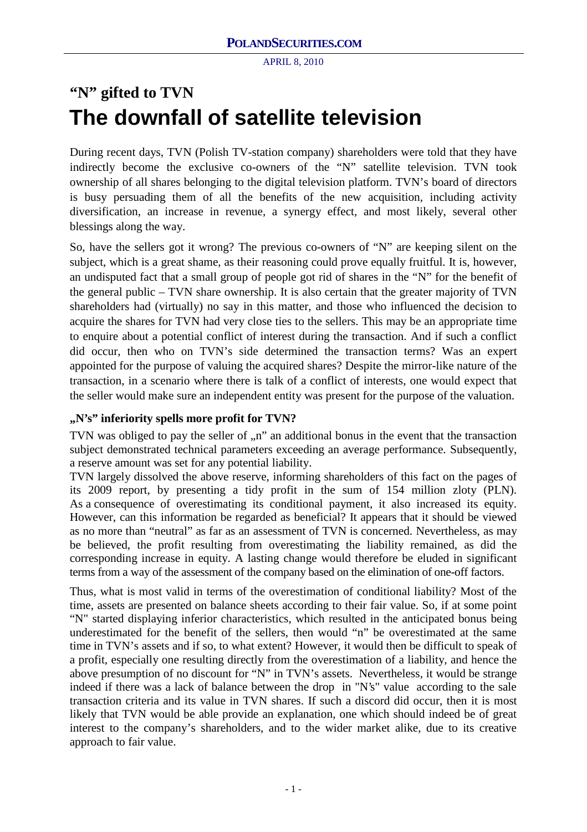# **"N" gifted to TVN The downfall of satellite television**

During recent days, TVN (Polish TV-station company) shareholders were told that they have indirectly become the exclusive co-owners of the "N" satellite television. TVN took ownership of all shares belonging to the digital television platform. TVN's board of directors is busy persuading them of all the benefits of the new acquisition, including activity diversification, an increase in revenue, a synergy effect, and most likely, several other blessings along the way.

So, have the sellers got it wrong? The previous co-owners of "N" are keeping silent on the subject, which is a great shame, as their reasoning could prove equally fruitful. It is, however, an undisputed fact that a small group of people got rid of shares in the "N" for the benefit of the general public – TVN share ownership. It is also certain that the greater majority of TVN shareholders had (virtually) no say in this matter, and those who influenced the decision to acquire the shares for TVN had very close ties to the sellers. This may be an appropriate time to enquire about a potential conflict of interest during the transaction. And if such a conflict did occur, then who on TVN's side determined the transaction terms? Was an expert appointed for the purpose of valuing the acquired shares? Despite the mirror-like nature of the transaction, in a scenario where there is talk of a conflict of interests, one would expect that the seller would make sure an independent entity was present for the purpose of the valuation.

# **"N's" inferiority spells more profit for TVN?**

TVN was obliged to pay the seller of ,,n" an additional bonus in the event that the transaction subject demonstrated technical parameters exceeding an average performance. Subsequently, a reserve amount was set for any potential liability.

TVN largely dissolved the above reserve, informing shareholders of this fact on the pages of its 2009 report, by presenting a tidy profit in the sum of 154 million zloty (PLN). As a consequence of overestimating its conditional payment, it also increased its equity. However, can this information be regarded as beneficial? It appears that it should be viewed as no more than "neutral" as far as an assessment of TVN is concerned. Nevertheless, as may be believed, the profit resulting from overestimating the liability remained, as did the corresponding increase in equity. A lasting change would therefore be eluded in significant terms from a way of the assessment of the company based on the elimination of one-off factors.

Thus, what is most valid in terms of the overestimation of conditional liability? Most of the time, assets are presented on balance sheets according to their fair value. So, if at some point "N" started displaying inferior characteristics, which resulted in the anticipated bonus being underestimated for the benefit of the sellers, then would "n" be overestimated at the same time in TVN's assets and if so, to what extent? However, it would then be difficult to speak of a profit, especially one resulting directly from the overestimation of a liability, and hence the above presumption of no discount for "N" in TVN's assets. Nevertheless, it would be strange indeed if there was a lack of balance between the drop in "N's" value according to the sale transaction criteria and its value in TVN shares. If such a discord did occur, then it is most likely that TVN would be able provide an explanation, one which should indeed be of great interest to the company's shareholders, and to the wider market alike, due to its creative approach to fair value.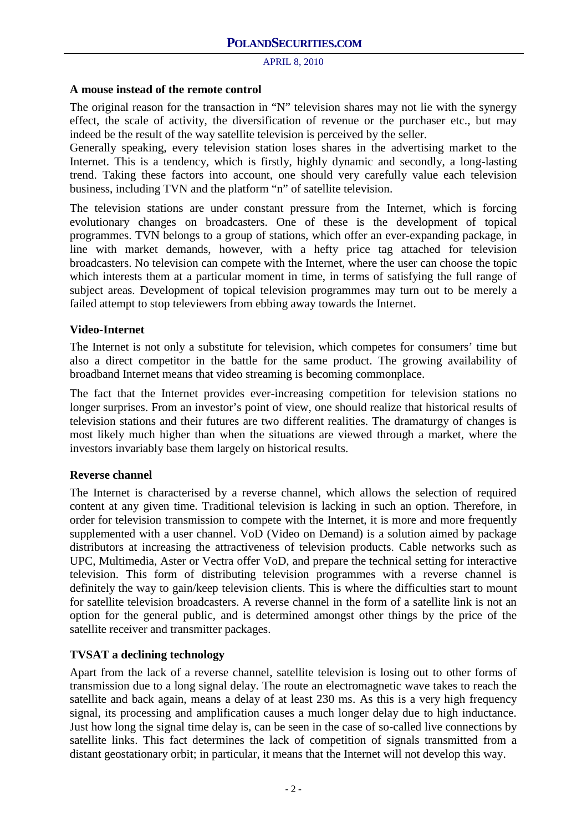#### **A mouse instead of the remote control**

The original reason for the transaction in "N" television shares may not lie with the synergy effect, the scale of activity, the diversification of revenue or the purchaser etc., but may indeed be the result of the way satellite television is perceived by the seller.

Generally speaking, every television station loses shares in the advertising market to the Internet. This is a tendency, which is firstly, highly dynamic and secondly, a long-lasting trend. Taking these factors into account, one should very carefully value each television business, including TVN and the platform "n" of satellite television.

The television stations are under constant pressure from the Internet, which is forcing evolutionary changes on broadcasters. One of these is the development of topical programmes. TVN belongs to a group of stations, which offer an ever-expanding package, in line with market demands, however, with a hefty price tag attached for television broadcasters. No television can compete with the Internet, where the user can choose the topic which interests them at a particular moment in time, in terms of satisfying the full range of subject areas. Development of topical television programmes may turn out to be merely a failed attempt to stop televiewers from ebbing away towards the Internet.

#### **Video-Internet**

The Internet is not only a substitute for television, which competes for consumers' time but also a direct competitor in the battle for the same product. The growing availability of broadband Internet means that video streaming is becoming commonplace.

The fact that the Internet provides ever-increasing competition for television stations no longer surprises. From an investor's point of view, one should realize that historical results of television stations and their futures are two different realities. The dramaturgy of changes is most likely much higher than when the situations are viewed through a market, where the investors invariably base them largely on historical results.

## **Reverse channel**

The Internet is characterised by a reverse channel, which allows the selection of required content at any given time. Traditional television is lacking in such an option. Therefore, in order for television transmission to compete with the Internet, it is more and more frequently supplemented with a user channel. VoD (Video on Demand) is a solution aimed by package distributors at increasing the attractiveness of television products. Cable networks such as UPC, Multimedia, Aster or Vectra offer VoD, and prepare the technical setting for interactive television. This form of distributing television programmes with a reverse channel is definitely the way to gain/keep television clients. This is where the difficulties start to mount for satellite television broadcasters. A reverse channel in the form of a satellite link is not an option for the general public, and is determined amongst other things by the price of the satellite receiver and transmitter packages.

## **TVSAT a declining technology**

Apart from the lack of a reverse channel, satellite television is losing out to other forms of transmission due to a long signal delay. The route an electromagnetic wave takes to reach the satellite and back again, means a delay of at least 230 ms. As this is a very high frequency signal, its processing and amplification causes a much longer delay due to high inductance. Just how long the signal time delay is, can be seen in the case of so-called live connections by satellite links. This fact determines the lack of competition of signals transmitted from a distant geostationary orbit; in particular, it means that the Internet will not develop this way.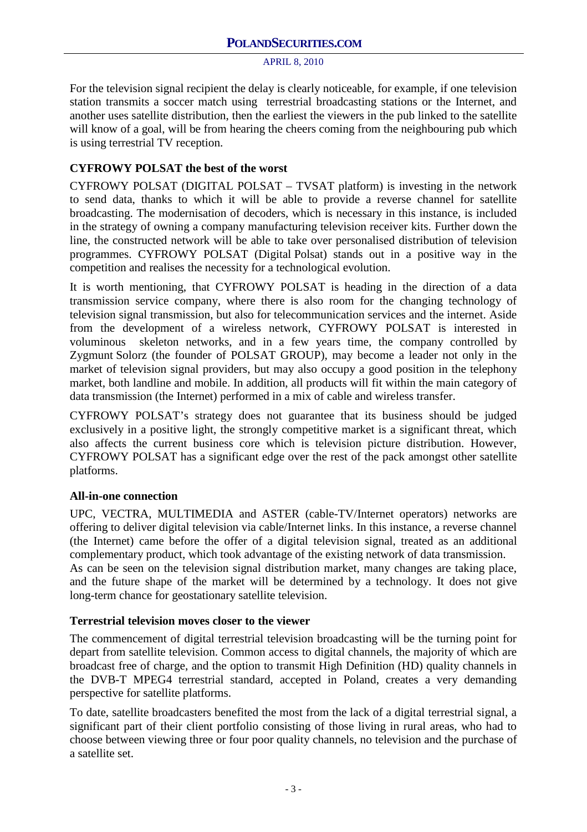For the television signal recipient the delay is clearly noticeable, for example, if one television station transmits a soccer match using terrestrial broadcasting stations or the Internet, and another uses satellite distribution, then the earliest the viewers in the pub linked to the satellite will know of a goal, will be from hearing the cheers coming from the neighbouring pub which is using terrestrial TV reception.

# **CYFROWY POLSAT the best of the worst**

CYFROWY POLSAT (DIGITAL POLSAT – TVSAT platform) is investing in the network to send data, thanks to which it will be able to provide a reverse channel for satellite broadcasting. The modernisation of decoders, which is necessary in this instance, is included in the strategy of owning a company manufacturing television receiver kits. Further down the line, the constructed network will be able to take over personalised distribution of television programmes. CYFROWY POLSAT (Digital Polsat) stands out in a positive way in the competition and realises the necessity for a technological evolution.

It is worth mentioning, that CYFROWY POLSAT is heading in the direction of a data transmission service company, where there is also room for the changing technology of television signal transmission, but also for telecommunication services and the internet. Aside from the development of a wireless network, CYFROWY POLSAT is interested in voluminous skeleton networks, and in a few years time, the company controlled by Zygmunt Solorz (the founder of POLSAT GROUP), may become a leader not only in the market of television signal providers, but may also occupy a good position in the telephony market, both landline and mobile. In addition, all products will fit within the main category of data transmission (the Internet) performed in a mix of cable and wireless transfer.

CYFROWY POLSAT's strategy does not guarantee that its business should be judged exclusively in a positive light, the strongly competitive market is a significant threat, which also affects the current business core which is television picture distribution. However, CYFROWY POLSAT has a significant edge over the rest of the pack amongst other satellite platforms.

## **All-in-one connection**

UPC, VECTRA, MULTIMEDIA and ASTER (cable-TV/Internet operators) networks are offering to deliver digital television via cable/Internet links. In this instance, a reverse channel (the Internet) came before the offer of a digital television signal, treated as an additional complementary product, which took advantage of the existing network of data transmission. As can be seen on the television signal distribution market, many changes are taking place,

and the future shape of the market will be determined by a technology. It does not give long-term chance for geostationary satellite television.

## **Terrestrial television moves closer to the viewer**

The commencement of digital terrestrial television broadcasting will be the turning point for depart from satellite television. Common access to digital channels, the majority of which are broadcast free of charge, and the option to transmit High Definition (HD) quality channels in the DVB-T MPEG4 terrestrial standard, accepted in Poland, creates a very demanding perspective for satellite platforms.

To date, satellite broadcasters benefited the most from the lack of a digital terrestrial signal, a significant part of their client portfolio consisting of those living in rural areas, who had to choose between viewing three or four poor quality channels, no television and the purchase of a satellite set.